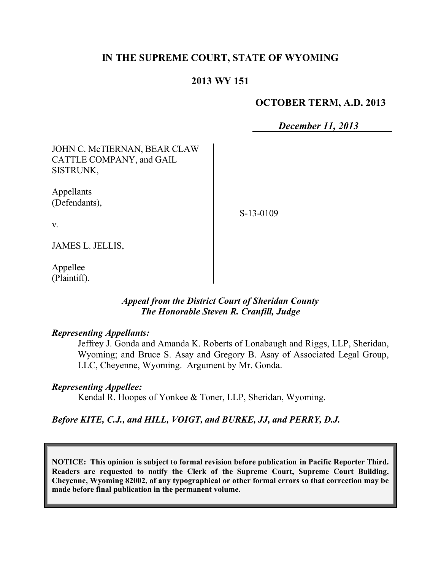# **IN THE SUPREME COURT, STATE OF WYOMING**

### **2013 WY 151**

### **OCTOBER TERM, A.D. 2013**

*December 11, 2013*

| JOHN C. McTIERNAN, BEAR CLAW<br>CATTLE COMPANY, and GAIL<br><b>SISTRUNK,</b> |             |
|------------------------------------------------------------------------------|-------------|
| Appellants<br>(Defendants),                                                  | $S-13-0109$ |
| V.                                                                           |             |

JAMES L. JELLIS,

Appellee (Plaintiff).

### *Appeal from the District Court of Sheridan County The Honorable Steven R. Cranfill, Judge*

#### *Representing Appellants:*

Jeffrey J. Gonda and Amanda K. Roberts of Lonabaugh and Riggs, LLP, Sheridan, Wyoming; and Bruce S. Asay and Gregory B. Asay of Associated Legal Group, LLC, Cheyenne, Wyoming. Argument by Mr. Gonda.

### *Representing Appellee:*

Kendal R. Hoopes of Yonkee & Toner, LLP, Sheridan, Wyoming.

### *Before KITE, C.J., and HILL, VOIGT, and BURKE, JJ, and PERRY, D.J.*

**NOTICE: This opinion is subject to formal revision before publication in Pacific Reporter Third. Readers are requested to notify the Clerk of the Supreme Court, Supreme Court Building, Cheyenne, Wyoming 82002, of any typographical or other formal errors so that correction may be made before final publication in the permanent volume.**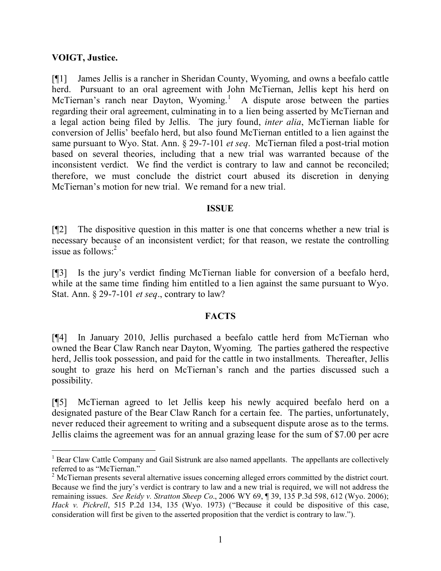### **VOIGT, Justice.**

 $\overline{a}$ 

[¶1] James Jellis is a rancher in Sheridan County, Wyoming, and owns a beefalo cattle herd. Pursuant to an oral agreement with John McTiernan, Jellis kept his herd on McTiernan's ranch near Dayton, Wyoming.<sup>1</sup> A dispute arose between the parties regarding their oral agreement, culminating in to a lien being asserted by McTiernan and a legal action being filed by Jellis. The jury found, *inter alia*, McTiernan liable for conversion of Jellis' beefalo herd, but also found McTiernan entitled to a lien against the same pursuant to Wyo. Stat. Ann. § 29-7-101 *et seq*. McTiernan filed a post-trial motion based on several theories, including that a new trial was warranted because of the inconsistent verdict. We find the verdict is contrary to law and cannot be reconciled; therefore, we must conclude the district court abused its discretion in denying McTiernan's motion for new trial. We remand for a new trial.

### **ISSUE**

[¶2] The dispositive question in this matter is one that concerns whether a new trial is necessary because of an inconsistent verdict; for that reason, we restate the controlling issue as follows:<sup>2</sup>

[¶3] Is the jury's verdict finding McTiernan liable for conversion of a beefalo herd, while at the same time finding him entitled to a lien against the same pursuant to Wyo. Stat. Ann. § 29-7-101 *et seq*., contrary to law?

### **FACTS**

[¶4] In January 2010, Jellis purchased a beefalo cattle herd from McTiernan who owned the Bear Claw Ranch near Dayton, Wyoming. The parties gathered the respective herd, Jellis took possession, and paid for the cattle in two installments. Thereafter, Jellis sought to graze his herd on McTiernan's ranch and the parties discussed such a possibility.

[¶5] McTiernan agreed to let Jellis keep his newly acquired beefalo herd on a designated pasture of the Bear Claw Ranch for a certain fee. The parties, unfortunately, never reduced their agreement to writing and a subsequent dispute arose as to the terms. Jellis claims the agreement was for an annual grazing lease for the sum of \$7.00 per acre

<sup>&</sup>lt;sup>1</sup> Bear Claw Cattle Company and Gail Sistrunk are also named appellants. The appellants are collectively referred to as "McTiernan."

<sup>&</sup>lt;sup>2</sup> McTiernan presents several alternative issues concerning alleged errors committed by the district court. Because we find the jury's verdict is contrary to law and a new trial is required, we will not address the remaining issues. *See Reidy v. Stratton Sheep Co*., 2006 WY 69, ¶ 39, 135 P.3d 598, 612 (Wyo. 2006); *Hack v. Pickrell*, 515 P.2d 134, 135 (Wyo. 1973) ("Because it could be dispositive of this case, consideration will first be given to the asserted proposition that the verdict is contrary to law.").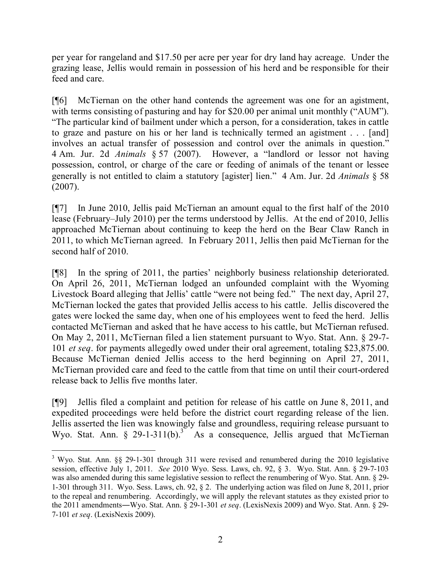per year for rangeland and \$17.50 per acre per year for dry land hay acreage. Under the grazing lease, Jellis would remain in possession of his herd and be responsible for their feed and care.

[¶6] McTiernan on the other hand contends the agreement was one for an agistment, with terms consisting of pasturing and hay for \$20.00 per animal unit monthly ("AUM"). "The particular kind of bailment under which a person, for a consideration, takes in cattle to graze and pasture on his or her land is technically termed an agistment . . . [and] involves an actual transfer of possession and control over the animals in question." 4 Am. Jur. 2d *Animals* § 57 (2007). However, a "landlord or lessor not having possession, control, or charge of the care or feeding of animals of the tenant or lessee generally is not entitled to claim a statutory [agister] lien." 4 Am. Jur. 2d *Animals* § 58 (2007).

[¶7] In June 2010, Jellis paid McTiernan an amount equal to the first half of the 2010 lease (February–July 2010) per the terms understood by Jellis. At the end of 2010, Jellis approached McTiernan about continuing to keep the herd on the Bear Claw Ranch in 2011, to which McTiernan agreed. In February 2011, Jellis then paid McTiernan for the second half of 2010.

[¶8] In the spring of 2011, the parties' neighborly business relationship deteriorated. On April 26, 2011, McTiernan lodged an unfounded complaint with the Wyoming Livestock Board alleging that Jellis' cattle "were not being fed." The next day, April 27, McTiernan locked the gates that provided Jellis access to his cattle. Jellis discovered the gates were locked the same day, when one of his employees went to feed the herd. Jellis contacted McTiernan and asked that he have access to his cattle, but McTiernan refused. On May 2, 2011, McTiernan filed a lien statement pursuant to Wyo. Stat. Ann. § 29-7- 101 *et seq*. for payments allegedly owed under their oral agreement, totaling \$23,875.00. Because McTiernan denied Jellis access to the herd beginning on April 27, 2011, McTiernan provided care and feed to the cattle from that time on until their court-ordered release back to Jellis five months later.

[¶9] Jellis filed a complaint and petition for release of his cattle on June 8, 2011, and expedited proceedings were held before the district court regarding release of the lien. Jellis asserted the lien was knowingly false and groundless, requiring release pursuant to Wyo. Stat. Ann.  $\S$  29-1-311(b).<sup>3</sup> As a consequence, Jellis argued that McTiernan

 $\overline{a}$ 

<sup>&</sup>lt;sup>3</sup> Wyo. Stat. Ann. §§ 29-1-301 through 311 were revised and renumbered during the 2010 legislative session, effective July 1, 2011. *See* 2010 Wyo. Sess. Laws, ch. 92, § 3. Wyo. Stat. Ann. § 29-7-103 was also amended during this same legislative session to reflect the renumbering of Wyo. Stat. Ann. § 29- 1-301 through 311. Wyo. Sess. Laws, ch. 92, § 2. The underlying action was filed on June 8, 2011, prior to the repeal and renumbering. Accordingly, we will apply the relevant statutes as they existed prior to the 2011 amendments―Wyo. Stat. Ann. § 29-1-301 *et seq*. (LexisNexis 2009) and Wyo. Stat. Ann. § 29- 7-101 *et seq*. (LexisNexis 2009).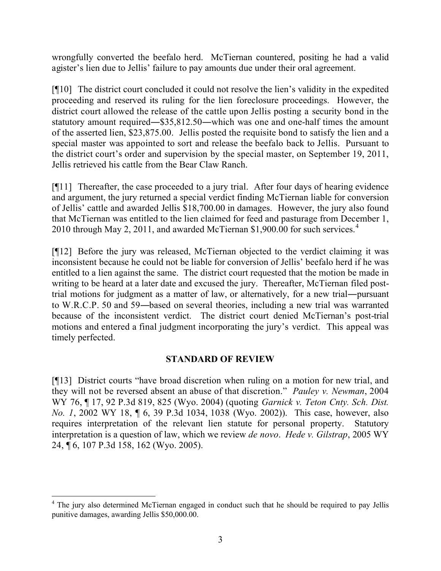wrongfully converted the beefalo herd. McTiernan countered, positing he had a valid agister's lien due to Jellis' failure to pay amounts due under their oral agreement.

[¶10] The district court concluded it could not resolve the lien's validity in the expedited proceeding and reserved its ruling for the lien foreclosure proceedings. However, the district court allowed the release of the cattle upon Jellis posting a security bond in the statutory amount required―\$35,812.50―which was one and one-half times the amount of the asserted lien, \$23,875.00. Jellis posted the requisite bond to satisfy the lien and a special master was appointed to sort and release the beefalo back to Jellis. Pursuant to the district court's order and supervision by the special master, on September 19, 2011, Jellis retrieved his cattle from the Bear Claw Ranch.

[¶11] Thereafter, the case proceeded to a jury trial. After four days of hearing evidence and argument, the jury returned a special verdict finding McTiernan liable for conversion of Jellis' cattle and awarded Jellis \$18,700.00 in damages. However, the jury also found that McTiernan was entitled to the lien claimed for feed and pasturage from December 1, 2010 through May 2, 2011, and awarded McTiernan \$1,900.00 for such services.<sup>4</sup>

[¶12] Before the jury was released, McTiernan objected to the verdict claiming it was inconsistent because he could not be liable for conversion of Jellis' beefalo herd if he was entitled to a lien against the same. The district court requested that the motion be made in writing to be heard at a later date and excused the jury. Thereafter, McTiernan filed posttrial motions for judgment as a matter of law, or alternatively, for a new trial―pursuant to W.R.C.P. 50 and 59―based on several theories, including a new trial was warranted because of the inconsistent verdict. The district court denied McTiernan's post-trial motions and entered a final judgment incorporating the jury's verdict. This appeal was timely perfected.

### **STANDARD OF REVIEW**

[¶13] District courts "have broad discretion when ruling on a motion for new trial, and they will not be reversed absent an abuse of that discretion." *Pauley v. Newman*, 2004 WY 76, ¶ 17, 92 P.3d 819, 825 (Wyo. 2004) (quoting *Garnick v. Teton Cnty. Sch. Dist. No. 1*, 2002 WY 18, ¶ 6, 39 P.3d 1034, 1038 (Wyo. 2002)). This case, however, also requires interpretation of the relevant lien statute for personal property. Statutory interpretation is a question of law, which we review *de novo*. *Hede v. Gilstrap*, 2005 WY 24, ¶ 6, 107 P.3d 158, 162 (Wyo. 2005).

 $\overline{a}$ 

<sup>&</sup>lt;sup>4</sup> The jury also determined McTiernan engaged in conduct such that he should be required to pay Jellis punitive damages, awarding Jellis \$50,000.00.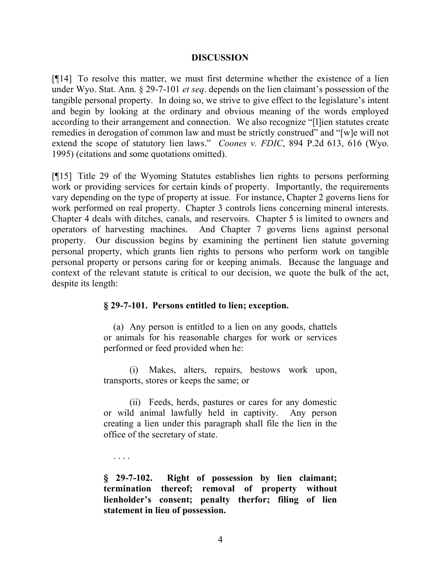#### **DISCUSSION**

[¶14] To resolve this matter, we must first determine whether the existence of a lien under Wyo. Stat. Ann. § 29-7-101 *et seq*. depends on the lien claimant's possession of the tangible personal property. In doing so, we strive to give effect to the legislature's intent and begin by looking at the ordinary and obvious meaning of the words employed according to their arrangement and connection. We also recognize "[l]ien statutes create remedies in derogation of common law and must be strictly construed" and "[w]e will not extend the scope of statutory lien laws." *Coones v. FDIC*, 894 P.2d 613, 616 (Wyo. 1995) (citations and some quotations omitted).

[¶15] Title 29 of the Wyoming Statutes establishes lien rights to persons performing work or providing services for certain kinds of property. Importantly, the requirements vary depending on the type of property at issue. For instance, Chapter 2 governs liens for work performed on real property. Chapter 3 controls liens concerning mineral interests. Chapter 4 deals with ditches, canals, and reservoirs. Chapter 5 is limited to owners and operators of harvesting machines. And Chapter 7 governs liens against personal property. Our discussion begins by examining the pertinent lien statute governing personal property, which grants lien rights to persons who perform work on tangible personal property or persons caring for or keeping animals. Because the language and context of the relevant statute is critical to our decision, we quote the bulk of the act, despite its length:

### **§ 29-7-101. Persons entitled to lien; exception.**

(a) Any person is entitled to a lien on any goods, chattels or animals for his reasonable charges for work or services performed or feed provided when he:

(i) Makes, alters, repairs, bestows work upon, transports, stores or keeps the same; or

(ii) Feeds, herds, pastures or cares for any domestic or wild animal lawfully held in captivity. Any person creating a lien under this paragraph shall file the lien in the office of the secretary of state.

**§ 29-7-102. Right of possession by lien claimant; termination thereof; removal of property without lienholder's consent; penalty therfor; filing of lien statement in lieu of possession.**

. . . .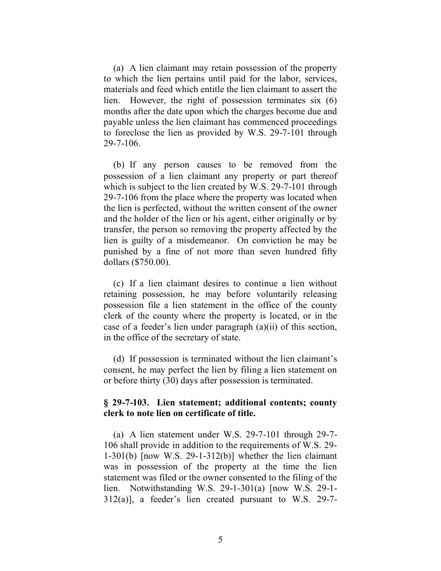(a) A lien claimant may retain possession of the property to which the lien pertains until paid for the labor, services, materials and feed which entitle the lien claimant to assert the lien. However, the right of possession terminates six (6) months after the date upon which the charges become due and payable unless the lien claimant has commenced proceedings to foreclose the lien as provided by W.S. 29-7-101 through 29-7-106.

(b) If any person causes to be removed from the possession of a lien claimant any property or part thereof which is subject to the lien created by W.S. 29-7-101 through 29-7-106 from the place where the property was located when the lien is perfected, without the written consent of the owner and the holder of the lien or his agent, either originally or by transfer, the person so removing the property affected by the lien is guilty of a misdemeanor. On conviction he may be punished by a fine of not more than seven hundred fifty dollars (\$750.00).

(c) If a lien claimant desires to continue a lien without retaining possession, he may before voluntarily releasing possession file a lien statement in the office of the county clerk of the county where the property is located, or in the case of a feeder's lien under paragraph (a)(ii) of this section, in the office of the secretary of state.

(d) If possession is terminated without the lien claimant's consent, he may perfect the lien by filing a lien statement on or before thirty (30) days after possession is terminated.

### **§ 29-7-103. Lien statement; additional contents; county clerk to note lien on certificate of title.**

(a) A lien statement under W.S. 29-7-101 through 29-7- 106 shall provide in addition to the requirements of W.S. 29- 1-301(b) [now W.S. 29-1-312(b)] whether the lien claimant was in possession of the property at the time the lien statement was filed or the owner consented to the filing of the lien. Notwithstanding W.S. 29-1-301(a) [now W.S. 29-1- 312(a)], a feeder's lien created pursuant to W.S. 29-7-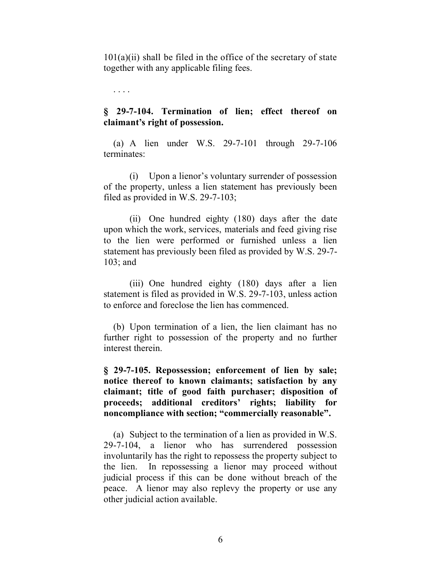$101(a)(ii)$  shall be filed in the office of the secretary of state together with any applicable filing fees.

. . . .

## **§ 29-7-104. Termination of lien; effect thereof on claimant's right of possession.**

(a) A lien under W.S. 29-7-101 through 29-7-106 terminates:

(i) Upon a lienor's voluntary surrender of possession of the property, unless a lien statement has previously been filed as provided in W.S. 29-7-103;

(ii) One hundred eighty (180) days after the date upon which the work, services, materials and feed giving rise to the lien were performed or furnished unless a lien statement has previously been filed as provided by W.S. 29-7- 103; and

(iii) One hundred eighty (180) days after a lien statement is filed as provided in W.S. 29-7-103, unless action to enforce and foreclose the lien has commenced.

(b) Upon termination of a lien, the lien claimant has no further right to possession of the property and no further interest therein.

**§ 29-7-105. Repossession; enforcement of lien by sale; notice thereof to known claimants; satisfaction by any claimant; title of good faith purchaser; disposition of proceeds; additional creditors' rights; liability for noncompliance with section; "commercially reasonable".**

(a) Subject to the termination of a lien as provided in W.S. 29-7-104, a lienor who has surrendered possession involuntarily has the right to repossess the property subject to the lien. In repossessing a lienor may proceed without judicial process if this can be done without breach of the peace. A lienor may also replevy the property or use any other judicial action available.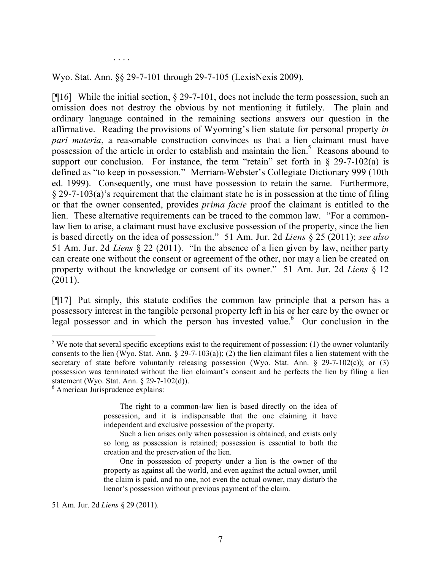. . . .

Wyo. Stat. Ann. §§ 29-7-101 through 29-7-105 (LexisNexis 2009).

[¶16] While the initial section, § 29-7-101, does not include the term possession, such an omission does not destroy the obvious by not mentioning it futilely. The plain and ordinary language contained in the remaining sections answers our question in the affirmative. Reading the provisions of Wyoming's lien statute for personal property *in pari materia*, a reasonable construction convinces us that a lien claimant must have possession of the article in order to establish and maintain the lien.<sup>5</sup> Reasons abound to support our conclusion. For instance, the term "retain" set forth in  $\S$  29-7-102(a) is defined as "to keep in possession." Merriam-Webster's Collegiate Dictionary 999 (10th ed. 1999). Consequently, one must have possession to retain the same. Furthermore, § 29-7-103(a)'s requirement that the claimant state he is in possession at the time of filing or that the owner consented, provides *prima facie* proof the claimant is entitled to the lien. These alternative requirements can be traced to the common law. "For a commonlaw lien to arise, a claimant must have exclusive possession of the property, since the lien is based directly on the idea of possession." 51 Am. Jur. 2d *Liens* § 25 (2011); *see also* 51 Am. Jur. 2d *Liens* § 22 (2011). "In the absence of a lien given by law, neither party can create one without the consent or agreement of the other, nor may a lien be created on property without the knowledge or consent of its owner." 51 Am. Jur. 2d *Liens* § 12 (2011).

[¶17] Put simply, this statute codifies the common law principle that a person has a possessory interest in the tangible personal property left in his or her care by the owner or legal possessor and in which the person has invested value.<sup>6</sup> Our conclusion in the

 $\overline{a}$ 

51 Am. Jur. 2d *Liens* § 29 (2011).

 $5$  We note that several specific exceptions exist to the requirement of possession: (1) the owner voluntarily consents to the lien (Wyo. Stat. Ann.  $\S 29-7-103(a)$ ); (2) the lien claimant files a lien statement with the secretary of state before voluntarily releasing possession (Wyo. Stat. Ann. § 29-7-102(c)); or (3) possession was terminated without the lien claimant's consent and he perfects the lien by filing a lien statement (Wyo. Stat. Ann. § 29-7-102(d)).

<sup>6</sup> American Jurisprudence explains:

The right to a common-law lien is based directly on the idea of possession, and it is indispensable that the one claiming it have independent and exclusive possession of the property.

Such a lien arises only when possession is obtained, and exists only so long as possession is retained; possession is essential to both the creation and the preservation of the lien.

One in possession of property under a lien is the owner of the property as against all the world, and even against the actual owner, until the claim is paid, and no one, not even the actual owner, may disturb the lienor's possession without previous payment of the claim.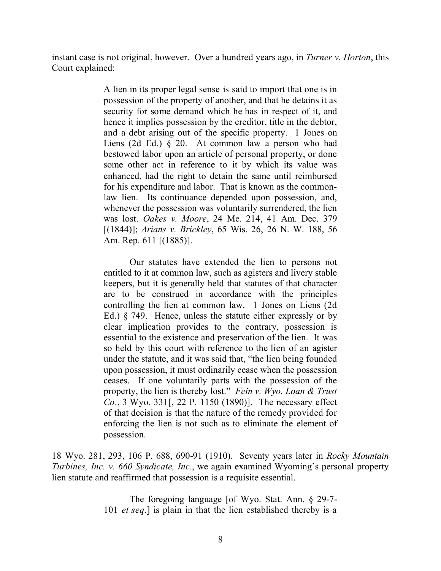instant case is not original, however. Over a hundred years ago, in *Turner v. Horton*, this Court explained:

> A lien in its proper legal sense is said to import that one is in possession of the property of another, and that he detains it as security for some demand which he has in respect of it, and hence it implies possession by the creditor, title in the debtor, and a debt arising out of the specific property. 1 Jones on Liens (2d Ed.) § 20. At common law a person who had bestowed labor upon an article of personal property, or done some other act in reference to it by which its value was enhanced, had the right to detain the same until reimbursed for his expenditure and labor. That is known as the commonlaw lien. Its continuance depended upon possession, and, whenever the possession was voluntarily surrendered, the lien was lost. *Oakes v. Moore*, 24 Me. 214, 41 Am. Dec. 379 [(1844)]; *Arians v. Brickley*, 65 Wis. 26, 26 N. W. 188, 56 Am. Rep. 611 [(1885)].

> Our statutes have extended the lien to persons not entitled to it at common law, such as agisters and livery stable keepers, but it is generally held that statutes of that character are to be construed in accordance with the principles controlling the lien at common law. 1 Jones on Liens (2d Ed.) § 749. Hence, unless the statute either expressly or by clear implication provides to the contrary, possession is essential to the existence and preservation of the lien. It was so held by this court with reference to the lien of an agister under the statute, and it was said that, "the lien being founded upon possession, it must ordinarily cease when the possession ceases. If one voluntarily parts with the possession of the property, the lien is thereby lost." *Fein v. Wyo. Loan & Trust Co*., 3 Wyo. 331[, 22 P. 1150 (1890)]. The necessary effect of that decision is that the nature of the remedy provided for enforcing the lien is not such as to eliminate the element of possession.

18 Wyo. 281, 293, 106 P. 688, 690-91 (1910). Seventy years later in *Rocky Mountain Turbines, Inc. v. 660 Syndicate, Inc*., we again examined Wyoming's personal property lien statute and reaffirmed that possession is a requisite essential.

> The foregoing language [of Wyo. Stat. Ann. § 29-7- 101 *et seq*.] is plain in that the lien established thereby is a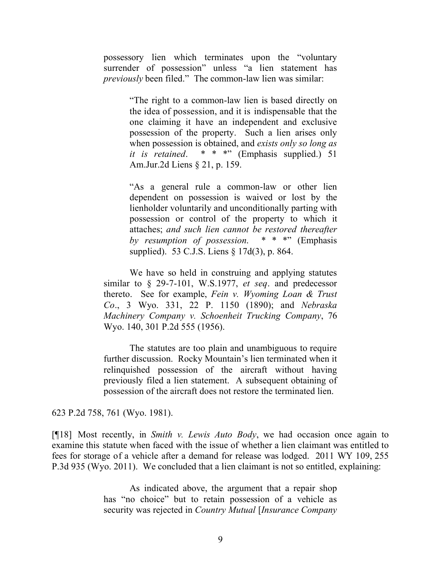possessory lien which terminates upon the "voluntary surrender of possession" unless "a lien statement has *previously* been filed." The common-law lien was similar:

> "The right to a common-law lien is based directly on the idea of possession, and it is indispensable that the one claiming it have an independent and exclusive possession of the property. Such a lien arises only when possession is obtained, and *exists only so long as it is retained*. \* \* \*" (Emphasis supplied.) 51 Am.Jur.2d Liens § 21, p. 159.

> "As a general rule a common-law or other lien dependent on possession is waived or lost by the lienholder voluntarily and unconditionally parting with possession or control of the property to which it attaches; *and such lien cannot be restored thereafter by resumption of possession*. \* \* \*" (Emphasis supplied). 53 C.J.S. Liens § 17d(3), p. 864.

We have so held in construing and applying statutes similar to § 29-7-101, W.S.1977, *et seq*. and predecessor thereto. See for example, *Fein v. Wyoming Loan & Trust Co*., 3 Wyo. 331, 22 P. 1150 (1890); and *Nebraska Machinery Company v. Schoenheit Trucking Company*, 76 Wyo. 140, 301 P.2d 555 (1956).

The statutes are too plain and unambiguous to require further discussion. Rocky Mountain's lien terminated when it relinquished possession of the aircraft without having previously filed a lien statement. A subsequent obtaining of possession of the aircraft does not restore the terminated lien.

623 P.2d 758, 761 (Wyo. 1981).

[¶18] Most recently, in *Smith v. Lewis Auto Body*, we had occasion once again to examine this statute when faced with the issue of whether a lien claimant was entitled to fees for storage of a vehicle after a demand for release was lodged. 2011 WY 109, 255 P.3d 935 (Wyo. 2011). We concluded that a lien claimant is not so entitled, explaining:

> As indicated above, the argument that a repair shop has "no choice" but to retain possession of a vehicle as security was rejected in *Country Mutual* [*Insurance Company*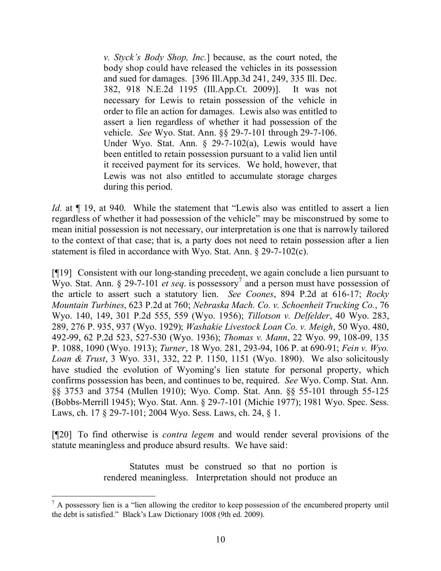*v. Styck's Body Shop, Inc.*] because, as the court noted, the body shop could have released the vehicles in its possession and sued for damages. [396 Ill.App.3d 241, 249, 335 Ill. Dec. 382, 918 N.E.2d 1195 (Ill.App.Ct. 2009)]. It was not necessary for Lewis to retain possession of the vehicle in order to file an action for damages. Lewis also was entitled to assert a lien regardless of whether it had possession of the vehicle. *See* Wyo. Stat. Ann. §§ 29-7-101 through 29-7-106. Under Wyo. Stat. Ann. § 29-7-102(a), Lewis would have been entitled to retain possession pursuant to a valid lien until it received payment for its services. We hold, however, that Lewis was not also entitled to accumulate storage charges during this period.

*Id.* at  $\P$  19, at 940. While the statement that "Lewis also was entitled to assert a lien regardless of whether it had possession of the vehicle" may be misconstrued by some to mean initial possession is not necessary, our interpretation is one that is narrowly tailored to the context of that case; that is, a party does not need to retain possession after a lien statement is filed in accordance with Wyo. Stat. Ann. § 29-7-102(c).

[¶19] Consistent with our long-standing precedent, we again conclude a lien pursuant to Wyo. Stat. Ann.  $\S$  29-7-101 *et seq.* is possessory<sup>7</sup> and a person must have possession of the article to assert such a statutory lien. *See Coones*, 894 P.2d at 616-17; *Rocky Mountain Turbines*, 623 P.2d at 760; *Nebraska Mach. Co. v. Schoenheit Trucking Co.*, 76 Wyo. 140, 149, 301 P.2d 555, 559 (Wyo. 1956); *Tillotson v. Delfelder*, 40 Wyo. 283, 289, 276 P. 935, 937 (Wyo. 1929); *Washakie Livestock Loan Co. v. Meigh*, 50 Wyo. 480, 492-99, 62 P.2d 523, 527-530 (Wyo. 1936); *Thomas v. Mann*, 22 Wyo. 99, 108-09, 135 P. 1088, 1090 (Wyo. 1913); *Turner*, 18 Wyo. 281, 293-94, 106 P. at 690-91; *Fein v. Wyo. Loan & Trust*, 3 Wyo. 331, 332, 22 P. 1150, 1151 (Wyo. 1890). We also solicitously have studied the evolution of Wyoming's lien statute for personal property, which confirms possession has been, and continues to be, required. *See* Wyo. Comp. Stat. Ann. §§ 3753 and 3754 (Mullen 1910); Wyo. Comp. Stat. Ann. §§ 55-101 through 55-125 (Bobbs-Merrill 1945); Wyo. Stat. Ann. § 29-7-101 (Michie 1977); 1981 Wyo. Spec. Sess. Laws, ch. 17 § 29-7-101; 2004 Wyo. Sess. Laws, ch. 24, § 1.

[¶20] To find otherwise is *contra legem* and would render several provisions of the statute meaningless and produce absurd results. We have said:

> Statutes must be construed so that no portion is rendered meaningless. Interpretation should not produce an

 $\overline{a}$ 

 $<sup>7</sup>$  A possessory lien is a "lien allowing the creditor to keep possession of the encumbered property until</sup> the debt is satisfied." Black's Law Dictionary 1008 (9th ed. 2009).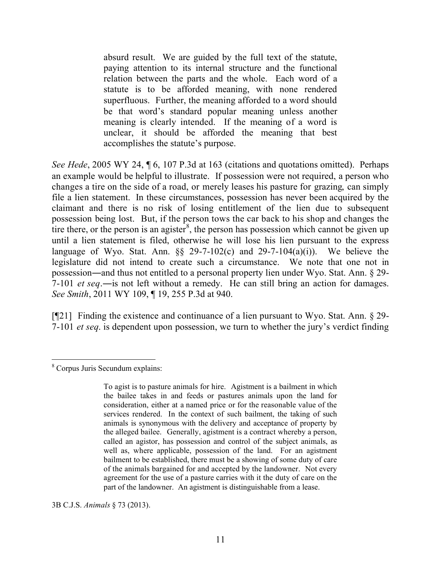absurd result. We are guided by the full text of the statute, paying attention to its internal structure and the functional relation between the parts and the whole. Each word of a statute is to be afforded meaning, with none rendered superfluous. Further, the meaning afforded to a word should be that word's standard popular meaning unless another meaning is clearly intended. If the meaning of a word is unclear, it should be afforded the meaning that best accomplishes the statute's purpose.

*See Hede*, 2005 WY 24, ¶ 6, 107 P.3d at 163 (citations and quotations omitted). Perhaps an example would be helpful to illustrate. If possession were not required, a person who changes a tire on the side of a road, or merely leases his pasture for grazing, can simply file a lien statement. In these circumstances, possession has never been acquired by the claimant and there is no risk of losing entitlement of the lien due to subsequent possession being lost. But, if the person tows the car back to his shop and changes the tire there, or the person is an agister<sup>8</sup>, the person has possession which cannot be given up until a lien statement is filed, otherwise he will lose his lien pursuant to the express language of Wyo. Stat. Ann.  $\S$  29-7-102(c) and 29-7-104(a)(i)). We believe the legislature did not intend to create such a circumstance. We note that one not in possession―and thus not entitled to a personal property lien under Wyo. Stat. Ann. § 29- 7-101 *et seq*.―is not left without a remedy. He can still bring an action for damages. *See Smith*, 2011 WY 109, ¶ 19, 255 P.3d at 940.

[¶21] Finding the existence and continuance of a lien pursuant to Wyo. Stat. Ann. § 29- 7-101 *et seq*. is dependent upon possession, we turn to whether the jury's verdict finding

3B C.J.S. *Animals* § 73 (2013).

 <sup>8</sup> Corpus Juris Secundum explains:

To agist is to pasture animals for hire. Agistment is a bailment in which the bailee takes in and feeds or pastures animals upon the land for consideration, either at a named price or for the reasonable value of the services rendered. In the context of such bailment, the taking of such animals is synonymous with the delivery and acceptance of property by the alleged bailee. Generally, agistment is a contract whereby a person, called an agistor, has possession and control of the subject animals, as well as, where applicable, possession of the land. For an agistment bailment to be established, there must be a showing of some duty of care of the animals bargained for and accepted by the landowner. Not every agreement for the use of a pasture carries with it the duty of care on the part of the landowner. An agistment is distinguishable from a lease.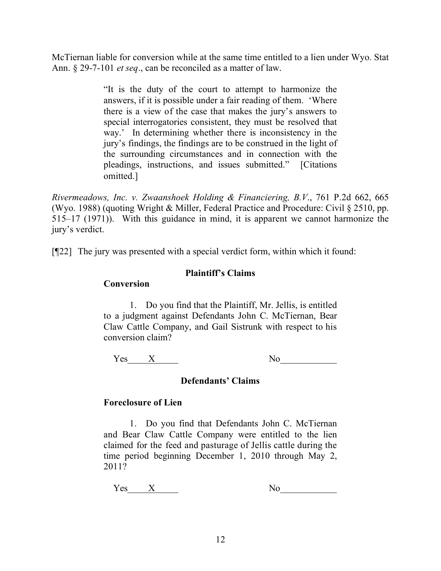McTiernan liable for conversion while at the same time entitled to a lien under Wyo. Stat Ann. § 29-7-101 *et seq*., can be reconciled as a matter of law.

> "It is the duty of the court to attempt to harmonize the answers, if it is possible under a fair reading of them. 'Where there is a view of the case that makes the jury's answers to special interrogatories consistent, they must be resolved that way.' In determining whether there is inconsistency in the jury's findings, the findings are to be construed in the light of the surrounding circumstances and in connection with the pleadings, instructions, and issues submitted." [Citations omitted.]

*Rivermeadows, Inc. v. Zwaanshoek Holding & Financiering, B.V*., 761 P.2d 662, 665 (Wyo. 1988) (quoting Wright & Miller, Federal Practice and Procedure: Civil § 2510, pp. 515–17 (1971)). With this guidance in mind, it is apparent we cannot harmonize the jury's verdict.

[¶22] The jury was presented with a special verdict form, within which it found:

# **Plaintiff's Claims**

## **Conversion**

1. Do you find that the Plaintiff, Mr. Jellis, is entitled to a judgment against Defendants John C. McTiernan, Bear Claw Cattle Company, and Gail Sistrunk with respect to his conversion claim?

 $Yes$   $X$  No

# **Defendants' Claims**

# **Foreclosure of Lien**

1. Do you find that Defendants John C. McTiernan and Bear Claw Cattle Company were entitled to the lien claimed for the feed and pasturage of Jellis cattle during the time period beginning December 1, 2010 through May 2, 2011?

 $Yes$   $X$ 

| ľ<br>NO. |  |
|----------|--|
|          |  |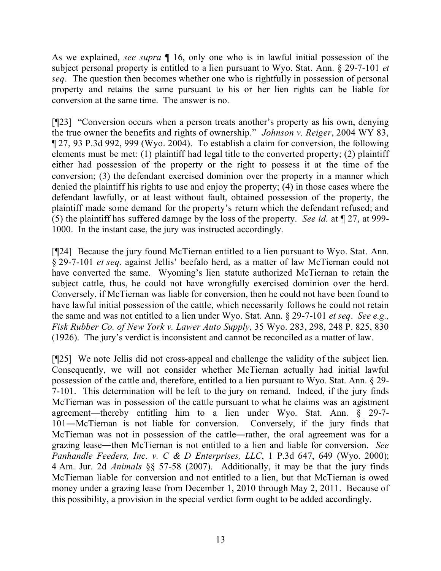As we explained, *see supra* ¶ 16, only one who is in lawful initial possession of the subject personal property is entitled to a lien pursuant to Wyo. Stat. Ann. § 29-7-101 *et seq*. The question then becomes whether one who is rightfully in possession of personal property and retains the same pursuant to his or her lien rights can be liable for conversion at the same time. The answer is no.

[¶23] "Conversion occurs when a person treats another's property as his own, denying the true owner the benefits and rights of ownership." *Johnson v. Reiger*, 2004 WY 83, ¶ 27, 93 P.3d 992, 999 (Wyo. 2004). To establish a claim for conversion, the following elements must be met: (1) plaintiff had legal title to the converted property; (2) plaintiff either had possession of the property or the right to possess it at the time of the conversion; (3) the defendant exercised dominion over the property in a manner which denied the plaintiff his rights to use and enjoy the property; (4) in those cases where the defendant lawfully, or at least without fault, obtained possession of the property, the plaintiff made some demand for the property's return which the defendant refused; and (5) the plaintiff has suffered damage by the loss of the property. *See id.* at ¶ 27, at 999- 1000. In the instant case, the jury was instructed accordingly.

[¶24] Because the jury found McTiernan entitled to a lien pursuant to Wyo. Stat. Ann. § 29-7-101 *et seq*. against Jellis' beefalo herd, as a matter of law McTiernan could not have converted the same. Wyoming's lien statute authorized McTiernan to retain the subject cattle, thus, he could not have wrongfully exercised dominion over the herd. Conversely, if McTiernan was liable for conversion, then he could not have been found to have lawful initial possession of the cattle, which necessarily follows he could not retain the same and was not entitled to a lien under Wyo. Stat. Ann. § 29-7-101 *et seq*. *See e.g., Fisk Rubber Co. of New York v. Lawer Auto Supply*, 35 Wyo. 283, 298, 248 P. 825, 830 (1926). The jury's verdict is inconsistent and cannot be reconciled as a matter of law.

[¶25] We note Jellis did not cross-appeal and challenge the validity of the subject lien. Consequently, we will not consider whether McTiernan actually had initial lawful possession of the cattle and, therefore, entitled to a lien pursuant to Wyo. Stat. Ann. § 29- 7-101. This determination will be left to the jury on remand. Indeed, if the jury finds McTiernan was in possession of the cattle pursuant to what he claims was an agistment agreement—thereby entitling him to a lien under Wyo. Stat. Ann. § 29-7- 101―McTiernan is not liable for conversion. Conversely, if the jury finds that McTiernan was not in possession of the cattle―rather, the oral agreement was for a grazing lease―then McTiernan is not entitled to a lien and liable for conversion. *See Panhandle Feeders, Inc. v. C & D Enterprises, LLC*, 1 P.3d 647, 649 (Wyo. 2000); 4 Am. Jur. 2d *Animals* §§ 57-58 (2007). Additionally, it may be that the jury finds McTiernan liable for conversion and not entitled to a lien, but that McTiernan is owed money under a grazing lease from December 1, 2010 through May 2, 2011. Because of this possibility, a provision in the special verdict form ought to be added accordingly.